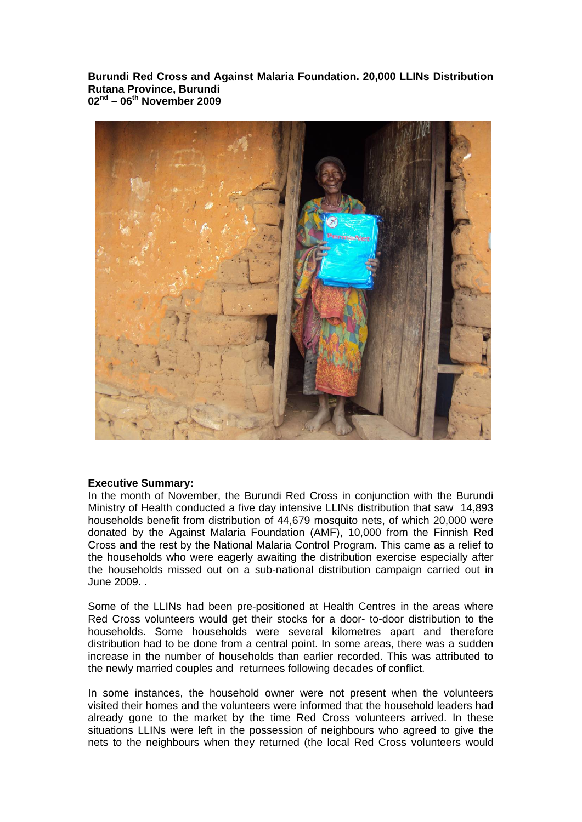**Burundi Red Cross and Against Malaria Foundation. 20,000 LLINs Distribution Rutana Province, Burundi 02nd – 06th November 2009** 



#### **Executive Summary:**

In the month of November, the Burundi Red Cross in conjunction with the Burundi Ministry of Health conducted a five day intensive LLINs distribution that saw 14,893 households benefit from distribution of 44,679 mosquito nets, of which 20,000 were donated by the Against Malaria Foundation (AMF), 10,000 from the Finnish Red Cross and the rest by the National Malaria Control Program. This came as a relief to the households who were eagerly awaiting the distribution exercise especially after the households missed out on a sub-national distribution campaign carried out in June 2009. .

Some of the LLINs had been pre-positioned at Health Centres in the areas where Red Cross volunteers would get their stocks for a door- to-door distribution to the households. Some households were several kilometres apart and therefore distribution had to be done from a central point. In some areas, there was a sudden increase in the number of households than earlier recorded. This was attributed to the newly married couples and returnees following decades of conflict.

In some instances, the household owner were not present when the volunteers visited their homes and the volunteers were informed that the household leaders had already gone to the market by the time Red Cross volunteers arrived. In these situations LLINs were left in the possession of neighbours who agreed to give the nets to the neighbours when they returned (the local Red Cross volunteers would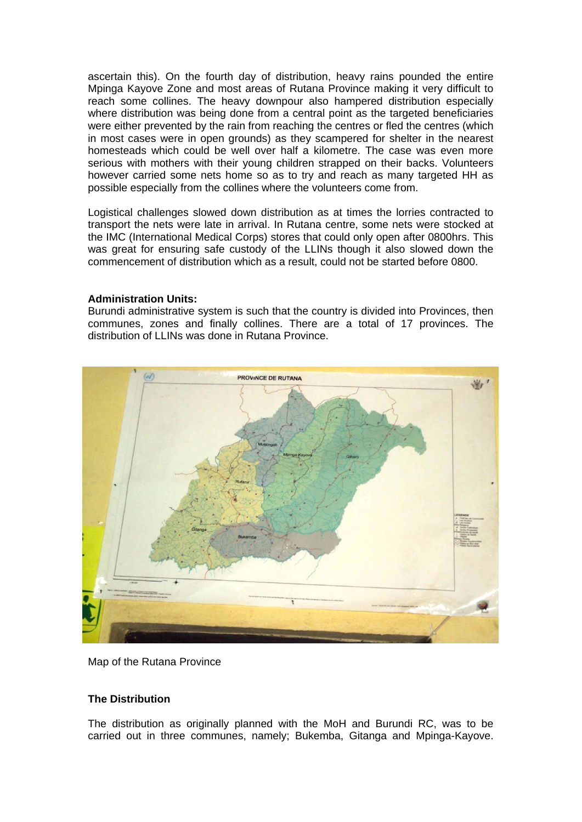ascertain this). On the fourth day of distribution, heavy rains pounded the entire Mpinga Kayove Zone and most areas of Rutana Province making it very difficult to reach some collines. The heavy downpour also hampered distribution especially where distribution was being done from a central point as the targeted beneficiaries were either prevented by the rain from reaching the centres or fled the centres (which in most cases were in open grounds) as they scampered for shelter in the nearest homesteads which could be well over half a kilometre. The case was even more serious with mothers with their young children strapped on their backs. Volunteers however carried some nets home so as to try and reach as many targeted HH as possible especially from the collines where the volunteers come from.

Logistical challenges slowed down distribution as at times the lorries contracted to transport the nets were late in arrival. In Rutana centre, some nets were stocked at the IMC (International Medical Corps) stores that could only open after 0800hrs. This was great for ensuring safe custody of the LLINs though it also slowed down the commencement of distribution which as a result, could not be started before 0800.

## **Administration Units:**

Burundi administrative system is such that the country is divided into Provinces, then communes, zones and finally collines. There are a total of 17 provinces. The distribution of LLINs was done in Rutana Province.



Map of the Rutana Province

# **The Distribution**

The distribution as originally planned with the MoH and Burundi RC, was to be carried out in three communes, namely; Bukemba, Gitanga and Mpinga-Kayove.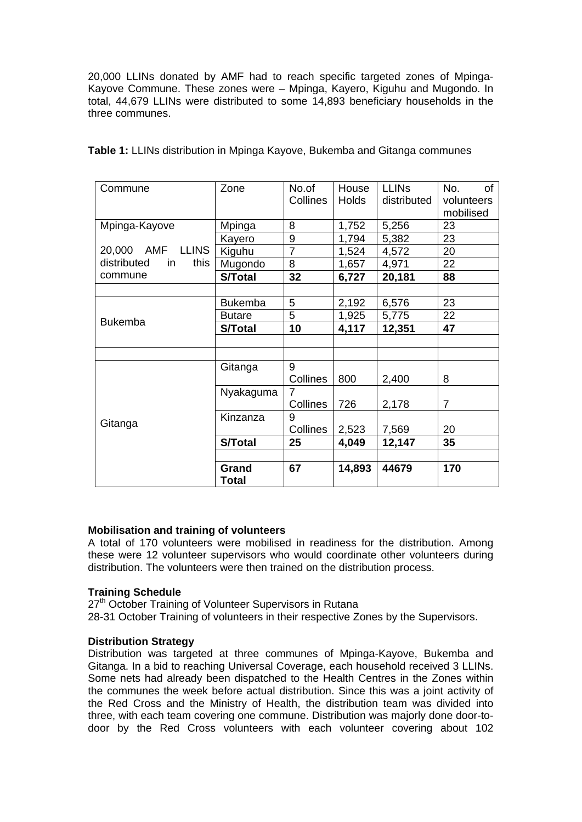20,000 LLINs donated by AMF had to reach specific targeted zones of Mpinga-Kayove Commune. These zones were – Mpinga, Kayero, Kiguhu and Mugondo. In total, 44,679 LLINs were distributed to some 14,893 beneficiary households in the three communes.

| Commune                                                 | Zone           | No.of          | House        | <b>LLINS</b> | No.<br>of      |
|---------------------------------------------------------|----------------|----------------|--------------|--------------|----------------|
|                                                         |                | Collines       | <b>Holds</b> | distributed  | volunteers     |
|                                                         |                |                |              |              | mobilised      |
| Mpinga-Kayove                                           | Mpinga         | 8              | 1,752        | 5,256        | 23             |
|                                                         | Kayero         | 9              | 1,794        | 5,382        | 23             |
| 20,000 AMF<br><b>LLINS</b><br>distributed<br>this<br>in | Kiguhu         | $\overline{7}$ | 1,524        | 4,572        | 20             |
|                                                         | Mugondo        | 8              | 1,657        | 4,971        | 22             |
| commune                                                 | S/Total        | 32             | 6,727        | 20,181       | 88             |
|                                                         |                |                |              |              |                |
|                                                         | <b>Bukemba</b> | 5              | 2,192        | 6,576        | 23             |
| <b>Bukemba</b>                                          | <b>Butare</b>  | 5              | 1,925        | 5,775        | 22             |
|                                                         | <b>S/Total</b> | 10             | 4,117        | 12,351       | 47             |
|                                                         |                |                |              |              |                |
|                                                         |                |                |              |              |                |
|                                                         | Gitanga        | 9              |              |              |                |
| Gitanga                                                 |                | Collines       | 800          | 2,400        | 8              |
|                                                         | Nyakaguma      | 7              |              |              |                |
|                                                         |                | Collines       | 726          | 2,178        | $\overline{7}$ |
|                                                         | Kinzanza       | 9              |              |              |                |
|                                                         |                | Collines       | 2,523        | 7,569        | 20             |
|                                                         | S/Total        | 25             | 4,049        | 12,147       | 35             |
|                                                         |                |                |              |              |                |
|                                                         | Grand<br>Total | 67             | 14,893       | 44679        | 170            |

**Table 1:** LLINs distribution in Mpinga Kayove, Bukemba and Gitanga communes

# **Mobilisation and training of volunteers**

A total of 170 volunteers were mobilised in readiness for the distribution. Among these were 12 volunteer supervisors who would coordinate other volunteers during distribution. The volunteers were then trained on the distribution process.

#### **Training Schedule**

27<sup>th</sup> October Training of Volunteer Supervisors in Rutana

28-31 October Training of volunteers in their respective Zones by the Supervisors.

#### **Distribution Strategy**

Distribution was targeted at three communes of Mpinga-Kayove, Bukemba and Gitanga. In a bid to reaching Universal Coverage, each household received 3 LLINs. Some nets had already been dispatched to the Health Centres in the Zones within the communes the week before actual distribution. Since this was a joint activity of the Red Cross and the Ministry of Health, the distribution team was divided into three, with each team covering one commune. Distribution was majorly done door-todoor by the Red Cross volunteers with each volunteer covering about 102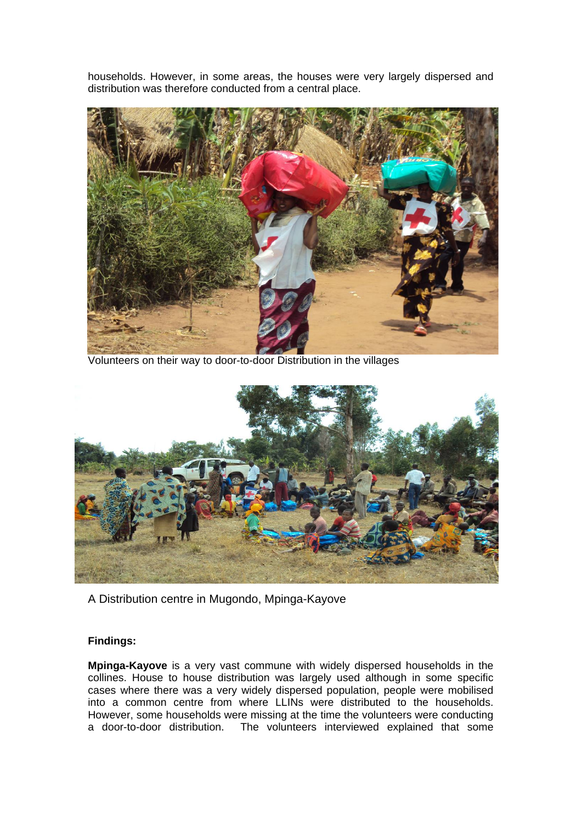households. However, in some areas, the houses were very largely dispersed and distribution was therefore conducted from a central place.



Volunteers on their way to door-to-door Distribution in the villages



A Distribution centre in Mugondo, Mpinga-Kayove

# **Findings:**

**Mpinga-Kayove** is a very vast commune with widely dispersed households in the collines. House to house distribution was largely used although in some specific cases where there was a very widely dispersed population, people were mobilised into a common centre from where LLINs were distributed to the households. However, some households were missing at the time the volunteers were conducting a door-to-door distribution. The volunteers interviewed explained that some